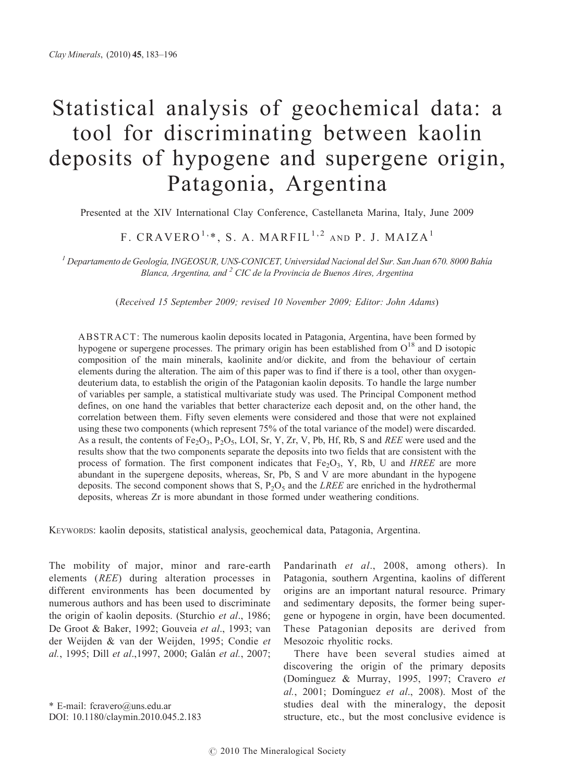# Statistical analysis of geochemical data: a tool for discriminating between kaolin deposits of hypogene and supergene origin, Patagonia, Argentina

Presented at the XIV International Clay Conference, Castellaneta Marina, Italy, June 2009

## F. CRAVERO<sup>1,\*</sup>, S. A. MARFIL<sup>1,2</sup> AND P. J. MAIZA<sup>1</sup>

 $^I$  Departamento de Geología, INGEOSUR, UNS-CONICET, Universidad Nacional del Sur. San Juan 670. 8000 Bahía Blanca, Argentina, and  $2$  CIC de la Provincia de Buenos Aires, Argentina

(Received 15 September 2009; revised 10 November 2009; Editor: John Adams)

ABSTRACT: The numerous kaolin deposits located in Patagonia, Argentina, have been formed by hypogene or supergene processes. The primary origin has been established from O<sup>18</sup> and D isotopic composition of the main minerals, kaolinite and/or dickite, and from the behaviour of certain elements during the alteration. The aim of this paper was to find if there is a tool, other than oxygendeuterium data, to establish the origin of the Patagonian kaolin deposits. To handle the large number of variables per sample, a statistical multivariate study was used. The Principal Component method defines, on one hand the variables that better characterize each deposit and, on the other hand, the correlation between them. Fifty seven elements were considered and those that were not explained using these two components (which represent 75% of the total variance of the model) were discarded. As a result, the contents of Fe<sub>2</sub>O<sub>3</sub>, P<sub>2</sub>O<sub>5</sub>, LOI, Sr, Y, Zr, V, Pb, Hf, Rb, S and *REE* were used and the results show that the two components separate the deposits into two fields that are consistent with the process of formation. The first component indicates that  $Fe<sub>2</sub>O<sub>3</sub>$ , Y, Rb, U and *HREE* are more abundant in the supergene deposits, whereas, Sr, Pb, S and V are more abundant in the hypogene deposits. The second component shows that S,  $P_2O_5$  and the *LREE* are enriched in the hydrothermal deposits, whereas Zr is more abundant in those formed under weathering conditions.

KEYWORDS: kaolin deposits, statistical analysis, geochemical data, Patagonia, Argentina.

The mobility of major, minor and rare-earth elements (REE) during alteration processes in different environments has been documented by numerous authors and has been used to discriminate the origin of kaolin deposits. (Sturchio et al., 1986; De Groot & Baker, 1992; Gouveia et al., 1993; van der Weijden & van der Weijden, 1995; Condie et al., 1995; Dill et al., 1997, 2000; Galán et al., 2007;

\* E-mail: fcravero@uns.edu.ar DOI: 10.1180/claymin.2010.045.2.183 Pandarinath et al., 2008, among others). In Patagonia, southern Argentina, kaolins of different origins are an important natural resource. Primary and sedimentary deposits, the former being supergene or hypogene in orgin, have been documented. These Patagonian deposits are derived from Mesozoic rhyolitic rocks.

There have been several studies aimed at discovering the origin of the primary deposits (Domínguez & Murray, 1995, 1997; Cravero et al., 2001; Dominguez et al., 2008). Most of the studies deal with the mineralogy, the deposit structure, etc., but the most conclusive evidence is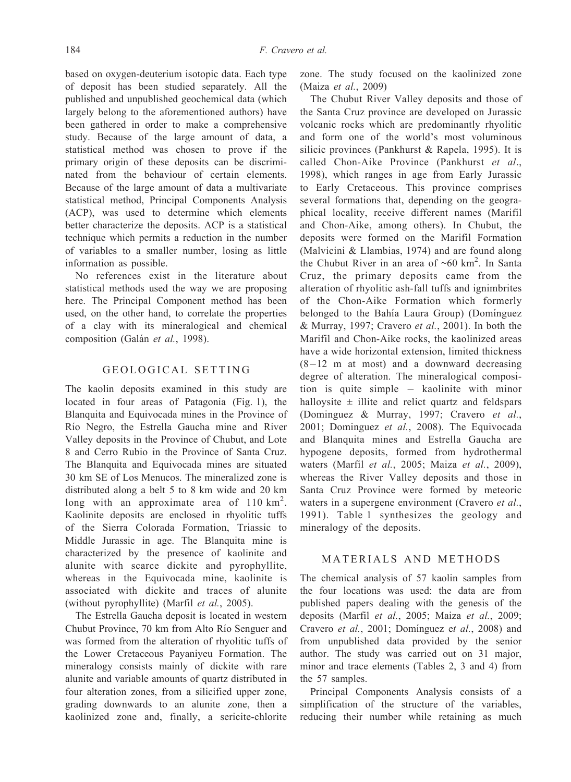based on oxygen-deuterium isotopic data. Each type of deposit has been studied separately. All the published and unpublished geochemical data (which largely belong to the aforementioned authors) have been gathered in order to make a comprehensive study. Because of the large amount of data, a statistical method was chosen to prove if the primary origin of these deposits can be discriminated from the behaviour of certain elements. Because of the large amount of data a multivariate statistical method, Principal Components Analysis (ACP), was used to determine which elements better characterize the deposits. ACP is a statistical technique which permits a reduction in the number of variables to a smaller number, losing as little information as possible.

No references exist in the literature about statistical methods used the way we are proposing here. The Principal Component method has been used, on the other hand, to correlate the properties of a clay with its mineralogical and chemical composition (Galán et al., 1998).

### GEOLOGICAL SETTING

The kaolin deposits examined in this study are located in four areas of Patagonia (Fig. 1), the Blanquita and Equivocada mines in the Province of Rı´o Negro, the Estrella Gaucha mine and River Valley deposits in the Province of Chubut, and Lote 8 and Cerro Rubio in the Province of Santa Cruz. The Blanquita and Equivocada mines are situated 30 km SE of Los Menucos. The mineralized zone is distributed along a belt 5 to 8 km wide and 20 km long with an approximate area of  $110 \text{ km}^2$ . Kaolinite deposits are enclosed in rhyolitic tuffs of the Sierra Colorada Formation, Triassic to Middle Jurassic in age. The Blanquita mine is characterized by the presence of kaolinite and alunite with scarce dickite and pyrophyllite, whereas in the Equivocada mine, kaolinite is associated with dickite and traces of alunite (without pyrophyllite) (Marfil et al., 2005).

The Estrella Gaucha deposit is located in western Chubut Province, 70 km from Alto Rio Senguer and was formed from the alteration of rhyolitic tuffs of the Lower Cretaceous Payaniyeu Formation. The mineralogy consists mainly of dickite with rare alunite and variable amounts of quartz distributed in four alteration zones, from a silicified upper zone, grading downwards to an alunite zone, then a kaolinized zone and, finally, a sericite-chlorite

zone. The study focused on the kaolinized zone (Maiza et al., 2009)

The Chubut River Valley deposits and those of the Santa Cruz province are developed on Jurassic volcanic rocks which are predominantly rhyolitic and form one of the world's most voluminous silicic provinces (Pankhurst & Rapela, 1995). It is called Chon-Aike Province (Pankhurst et al., 1998), which ranges in age from Early Jurassic to Early Cretaceous. This province comprises several formations that, depending on the geographical locality, receive different names (Marifil and Chon-Aike, among others). In Chubut, the deposits were formed on the Marifil Formation (Malvicini & Llambias, 1974) and are found along the Chubut River in an area of  $~60 \text{ km}^2$ . In Santa Cruz, the primary deposits came from the alteration of rhyolitic ash-fall tuffs and ignimbrites of the Chon-Aike Formation which formerly belonged to the Bahía Laura Group) (Domínguez & Murray, 1997; Cravero et al., 2001). In both the Marifil and Chon-Aike rocks, the kaolinized areas have a wide horizontal extension, limited thickness  $(8-12 \text{ m at most})$  and a downward decreasing degree of alteration. The mineralogical composition is quite simple kaolinite with minor halloysite  $\pm$  illite and relict quartz and feldspars (Dominguez & Murray, 1997; Cravero et al., 2001; Dominguez et al., 2008). The Equivocada and Blanquita mines and Estrella Gaucha are hypogene deposits, formed from hydrothermal waters (Marfil et al., 2005; Maiza et al., 2009), whereas the River Valley deposits and those in Santa Cruz Province were formed by meteoric waters in a supergene environment (Cravero et al., 1991). Table 1 synthesizes the geology and mineralogy of the deposits.

#### MATERIALS AND METHODS

The chemical analysis of 57 kaolin samples from the four locations was used: the data are from published papers dealing with the genesis of the deposits (Marfil et al., 2005; Maiza et al., 2009; Cravero et al., 2001; Dominguez et al., 2008) and from unpublished data provided by the senior author. The study was carried out on 31 major, minor and trace elements (Tables 2, 3 and 4) from the 57 samples.

Principal Components Analysis consists of a simplification of the structure of the variables, reducing their number while retaining as much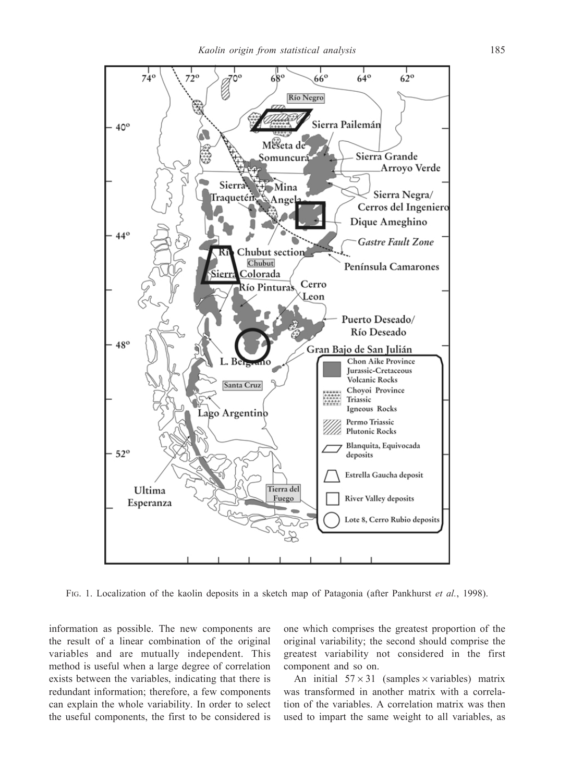

FIG. 1. Localization of the kaolin deposits in a sketch map of Patagonia (after Pankhurst et al., 1998).

information as possible. The new components are the result of a linear combination of the original variables and are mutually independent. This method is useful when a large degree of correlation exists between the variables, indicating that there is redundant information; therefore, a few components can explain the whole variability. In order to select the useful components, the first to be considered is one which comprises the greatest proportion of the original variability; the second should comprise the greatest variability not considered in the first component and so on.

An initial  $57 \times 31$  (samples  $\times$  variables) matrix was transformed in another matrix with a correlation of the variables. A correlation matrix was then used to impart the same weight to all variables, as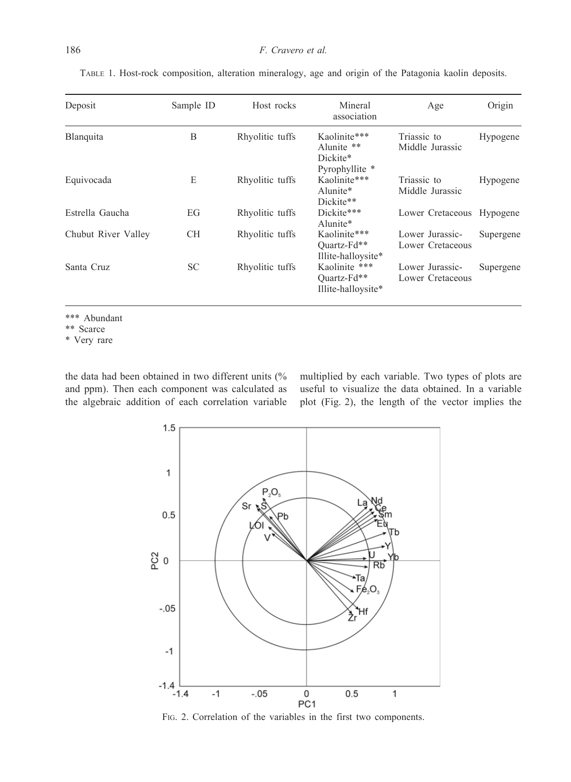| Deposit             | Sample ID | Host rocks      | Mineral<br>association                                   | Age                                 | Origin    |
|---------------------|-----------|-----------------|----------------------------------------------------------|-------------------------------------|-----------|
| Blanquita           | B         | Rhyolitic tuffs | Kaolinite***<br>Alunite **<br>Dickite*<br>Pyrophyllite * | Triassic to<br>Middle Jurassic      | Hypogene  |
| Equivocada          | E         | Rhyolitic tuffs | Kaolinite***<br>Alunite*<br>Dickite**                    | Triassic to<br>Middle Jurassic      | Hypogene  |
| Estrella Gaucha     | EG        | Rhyolitic tuffs | Dickite***<br>Alunite*                                   | Lower Cretaceous Hypogene           |           |
| Chubut River Valley | <b>CH</b> | Rhyolitic tuffs | Kaolinite***<br>Quartz-Fd**<br>Illite-halloysite*        | Lower Jurassic-<br>Lower Cretaceous | Supergene |
| Santa Cruz          | <b>SC</b> | Rhyolitic tuffs | Kaolinite ***<br>Ouartz-Fd**<br>Illite-halloysite*       | Lower Jurassic-<br>Lower Cretaceous | Supergene |

TABLE 1. Host-rock composition, alteration mineralogy, age and origin of the Patagonia kaolin deposits.

\*\*\* Abundant

\*\* Scarce

\* Very rare

the data had been obtained in two different units (% and ppm). Then each component was calculated as the algebraic addition of each correlation variable multiplied by each variable. Two types of plots are useful to visualize the data obtained. In a variable plot (Fig. 2), the length of the vector implies the



FIG. 2. Correlation of the variables in the first two components.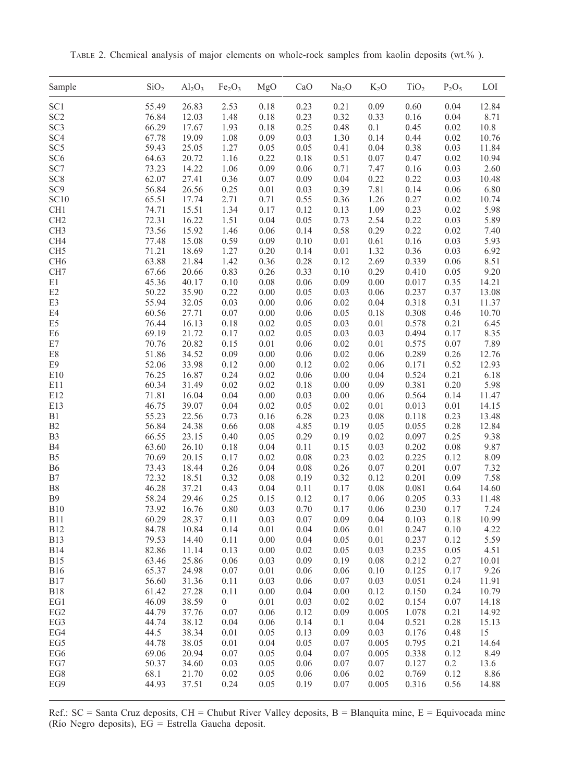Sample  $SiO_2$   $Al_2O_3$  Fe<sub>2</sub>O<sub>3</sub> MgO CaO Na<sub>2</sub>O K<sub>2</sub>O TiO<sub>2</sub> P<sub>2</sub>O<sub>5</sub> LOI SC1 55.49 26.83 2.53 0.18 0.23 0.21 0.09 0.60 0.04 12.84 SC2 76.84 12.03 1.48 0.18 0.23 0.32 0.33 0.16 0.04 8.71 SC3 66.29 17.67 1.93 0.18 0.25 0.48 0.1 0.45 0.02 10.8 SC4 67.78 19.09 1.08 0.09 0.03 1.30 0.14 0.44 0.02 10.76 SC5 59.43 25.05 1.27 0.05 0.05 0.41 0.04 0.38 0.03 11.84 SC6 64.63 20.72 1.16 0.22 0.18 0.51 0.07 0.47 0.02 10.94 SC7 73.23 14.22 1.06 0.09 0.06 0.71 7.47 0.16 0.03 2.60 SC8 62.07 27.41 0.36 0.07 0.09 0.04 0.22 0.22 0.03 10.48 SC9 56.84 26.56 0.25 0.01 0.03 0.39 7.81 0.14 0.06 6.80 SC10 65.51 17.74 2.71 0.71 0.55 0.36 1.26 0.27 0.02 10.74 CH1 74.71 15.51 1.34 0.17 0.12 0.13 1.09 0.23 0.02 5.98 CH2 72.31 16.22 1.51 0.04 0.05 0.73 2.54 0.22 0.03 5.89 CH3 73.56 15.92 1.46 0.06 0.14 0.58 0.29 0.22 0.02 7.40 CH4 77.48 15.08 0.59 0.09 0.10 0.01 0.61 0.16 0.03 5.93 CH5 71.21 18.69 1.27 0.20 0.14 0.01 1.32 0.36 0.03 6.92 CH6 63.88 21.84 1.42 0.36 0.28 0.12 2.69 0.339 0.06 8.51 CH7 67.66 20.66 0.83 0.26 0.33 0.10 0.29 0.410 0.05 9.20 E1 45.36 40.17 0.10 0.08 0.06 0.09 0.00 0.017 0.35 14.21 E2 50.22 35.90 0.22 0.00 0.05 0.03 0.06 0.237 0.37 13.08 E3 55.94 32.05 0.03 0.00 0.06 0.02 0.04 0.318 0.31 11.37 E4 60.56 27.71 0.07 0.00 0.06 0.05 0.18 0.308 0.46 10.70 E5 76.44 16.13 0.18 0.02 0.05 0.03 0.01 0.578 0.21 6.45 E6 69.19 21.72 0.17 0.02 0.05 0.03 0.03 0.494 0.17 8.35 E7 70.76 20.82 0.15 0.01 0.06 0.02 0.01 0.575 0.07 7.89 E8 51.86 34.52 0.09 0.00 0.06 0.02 0.06 0.289 0.26 12.76 E9 52.06 33.98 0.12 0.00 0.12 0.02 0.06 0.171 0.52 12.93 E10 76.25 16.87 0.24 0.02 0.06 0.00 0.04 0.524 0.21 6.18 E11 60.34 31.49 0.02 0.02 0.18 0.00 0.09 0.381 0.20 5.98 E12 71.81 16.04 0.04 0.00 0.03 0.00 0.06 0.564 0.14 11.47 E13 46.75 39.07 0.04 0.02 0.05 0.02 0.01 0.013 0.01 14.15 B1 55.23 22.56 0.73 0.16 6.28 0.23 0.08 0.118 0.23 13.48 B2 56.84 24.38 0.66 0.08 4.85 0.19 0.05 0.055 0.28 12.84 B3 66.55 23.15 0.40 0.05 0.29 0.19 0.02 0.097 0.25 9.38 B4 63.60 26.10 0.18 0.04 0.11 0.15 0.03 0.202 0.08 9.87 B5 70.69 20.15 0.17 0.02 0.08 0.23 0.02 0.225 0.12 8.09 B6 73.43 18.44 0.26 0.04 0.08 0.26 0.07 0.201 0.07 7.32 B7 72.32 18.51 0.32 0.08 0.19 0.32 0.12 0.201 0.09 7.58 B8 46.28 37.21 0.43 0.04 0.11 0.17 0.08 0.081 0.64 14.60 B9 58.24 29.46 0.25 0.15 0.12 0.17 0.06 0.205 0.33 11.48 B10 73.92 16.76 0.80 0.03 0.70 0.17 0.06 0.230 0.17 7.24 B11 60.29 28.37 0.11 0.03 0.07 0.09 0.04 0.103 0.18 10.99 B12 84.78 10.84 0.14 0.01 0.04 0.06 0.01 0.247 0.10 4.22 B13 79.53 14.40 0.11 0.00 0.04 0.05 0.01 0.237 0.12 5.59 B14 82.86 11.14 0.13 0.00 0.02 0.05 0.03 0.235 0.05 4.51 B15 63.46 25.86 0.06 0.03 0.09 0.19 0.08 0.212 0.27 10.01 B16 65.37 24.98 0.07 0.01 0.06 0.06 0.10 0.125 0.17 9.26 B17 56.60 31.36 0.11 0.03 0.06 0.07 0.03 0.051 0.24 11.91 B18 61.42 27.28 0.11 0.00 0.04 0.00 0.12 0.150 0.24 10.79 EG1 46.09 38.59 0 0.01 0.03 0.02 0.02 0.154 0.07 14.18 EG2 44.79 37.76 0.07 0.06 0.12 0.09 0.005 1.078 0.21 14.92 EG3 44.74 38.12 0.04 0.06 0.14 0.1 0.04 0.521 0.28 15.13 EG4 44.5 38.34 0.01 0.05 0.13 0.09 0.03 0.176 0.48 15 EG5 44.78 38.05 0.01 0.04 0.05 0.07 0.005 0.795 0.21 14.64 EG6 69.06 20.94 0.07 0.05 0.04 0.07 0.005 0.338 0.12 8.49 EG7 50.37 34.60 0.03 0.05 0.06 0.07 0.07 0.127 0.2 13.6 EG8 68.1 21.70 0.02 0.05 0.06 0.06 0.02 0.769 0.12 8.86 EG9 44.93 37.51 0.24 0.05 0.19 0.07 0.005 0.316 0.56 14.88

TABLE 2. Chemical analysis of major elements on whole-rock samples from kaolin deposits (wt.% ).

Ref.:  $SC =$  Santa Cruz deposits,  $CH =$  Chubut River Valley deposits,  $B =$  Blanquita mine,  $E =$  Equivocada mine (Río Negro deposits),  $EG =$  Estrella Gaucha deposit.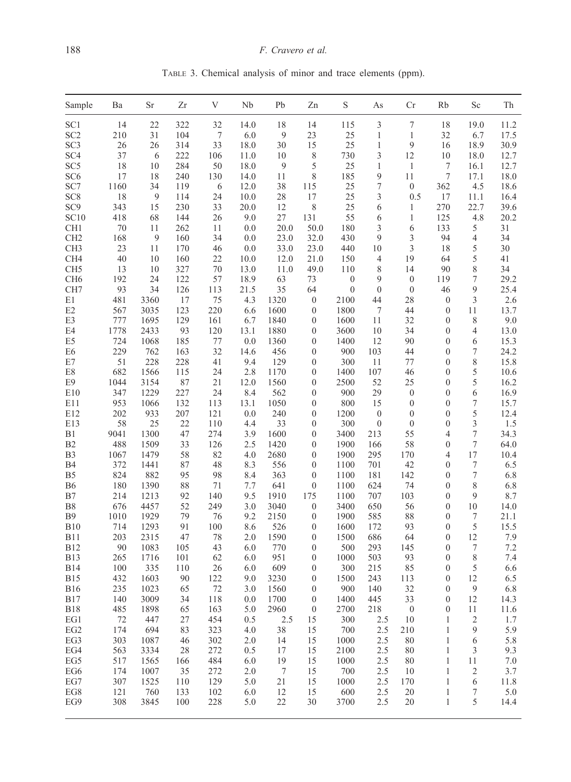TABLE 3. Chemical analysis of minor and trace elements (ppm).

| Sample          | Ba   | Sr   | Zr  | V   | Nb   | Pb              | Zn               | S                | As               | Cr               | Rb               | Sc             | Th      |
|-----------------|------|------|-----|-----|------|-----------------|------------------|------------------|------------------|------------------|------------------|----------------|---------|
| SC <sub>1</sub> | 14   | 22   | 322 | 32  | 14.0 | 18              | 14               | 115              | 3                | $\tau$           | 18               | 19.0           | 11.2    |
| SC <sub>2</sub> | 210  | 31   | 104 | 7   | 6.0  | 9               | 23               | 25               | 1                | 1                | 32               | 6.7            | 17.5    |
| SC <sub>3</sub> | 26   | 26   | 314 | 33  | 18.0 | 30              | 15               | 25               | $\mathbf{1}$     | 9                | 16               | 18.9           | 30.9    |
| SC <sub>4</sub> | 37   | 6    | 222 | 106 | 11.0 | 10              | 8                | 730              | 3                | 12               | 10               | 18.0           | 12.7    |
| SC <sub>5</sub> | 18   | 10   | 284 | 50  | 18.0 | 9               | 5                | 25               | 1                | 1                | 7                | 16.1           | 12.7    |
| SC <sub>6</sub> | 17   | 18   | 240 | 130 | 14.0 | 11              | 8                | 185              | 9                | 11               | 7                | 17.1           | 18.0    |
| SC7             | 1160 | 34   | 119 | 6   | 12.0 | 38              | 115              | 25               | 7                | $\boldsymbol{0}$ | 362              | 4.5            | 18.6    |
| SC <sub>8</sub> | 18   | 9    | 114 | 24  | 10.0 | 28              | 17               | 25               | 3                | 0.5              | 17               | 11.1           | 16.4    |
| SC <sub>9</sub> | 343  | 15   | 230 | 33  | 20.0 | 12              | 8                | 25               | 6                | 1                | 270              | 22.7           | 39.6    |
| SC10            | 418  | 68   | 144 | 26  | 9.0  | 27              | 131              | 55               | 6                | 1                | 125              | 4.8            | 20.2    |
| CH <sub>1</sub> | 70   | 11   | 262 | 11  | 0.0  | 20.0            | 50.0             | 180              | 3                | 6                | 133              | 5              | 31      |
| CH <sub>2</sub> | 168  | 9    | 160 | 34  |      | 23.0            | 32.0             | 430              | 9                | 3                | 94               | 4              | 34      |
|                 |      |      |     |     | 0.0  |                 |                  |                  |                  |                  |                  |                |         |
| CH <sub>3</sub> | 23   | 11   | 170 | 46  | 0.0  | 33.0            | 23.0             | 440              | 10               | 3                | 18               | 5              | 30      |
| CH <sub>4</sub> | 40   | 10   | 160 | 22  | 10.0 | 12.0            | 21.0             | 150              | 4                | 19               | 64               | 5              | 41      |
| CH <sub>5</sub> | 13   | 10   | 327 | 70  | 13.0 | 11.0            | 49.0             | 110              | 8                | 14               | 90               | 8              | 34      |
| CH <sub>6</sub> | 192  | 24   | 122 | 57  | 18.9 | 63              | 73               | $\boldsymbol{0}$ | 9                | $\boldsymbol{0}$ | 119              | 7              | 29.2    |
| CH <sub>7</sub> | 93   | 34   | 126 | 113 | 21.5 | 35              | 64               | $\boldsymbol{0}$ | $\mathbf{0}$     | $\boldsymbol{0}$ | 46               | 9              | 25.4    |
| E1              | 481  | 3360 | 17  | 75  | 4.3  | 1320            | $\boldsymbol{0}$ | 2100             | 44               | 28               | $\boldsymbol{0}$ | 3              | 2.6     |
| E <sub>2</sub>  | 567  | 3035 | 123 | 220 | 6.6  | 1600            | $\boldsymbol{0}$ | 1800             | 7                | 44               | $\boldsymbol{0}$ | 11             | 13.7    |
| E3              | 777  | 1695 | 129 | 161 | 6.7  | 1840            | $\boldsymbol{0}$ | 1600             | 11               | 32               | $\boldsymbol{0}$ | 8              | 9.0     |
| E4              | 1778 | 2433 | 93  | 120 | 13.1 | 1880            | $\boldsymbol{0}$ | 3600             | 10               | 34               | $\boldsymbol{0}$ | 4              | 13.0    |
| E <sub>5</sub>  | 724  | 1068 | 185 | 77  | 0.0  | 1360            | $\boldsymbol{0}$ | 1400             | 12               | 90               | $\boldsymbol{0}$ | 6              | 15.3    |
| E <sub>6</sub>  | 229  | 762  | 163 | 32  | 14.6 | 456             | $\boldsymbol{0}$ | 900              | 103              | 44               | $\boldsymbol{0}$ | 7              | 24.2    |
| E7              | 51   | 228  | 228 | 41  | 9.4  | 129             | $\mathbf{0}$     | 300              | 11               | 77               | $\boldsymbol{0}$ | 8              | 15.8    |
| E8              | 682  | 1566 | 115 | 24  | 2.8  | 1170            | $\boldsymbol{0}$ | 1400             | 107              | 46               | $\boldsymbol{0}$ | 5              | 10.6    |
| E9              | 1044 | 3154 | 87  | 21  | 12.0 | 1560            | $\boldsymbol{0}$ | 2500             | 52               | 25               | $\boldsymbol{0}$ | 5              | 16.2    |
| E10             | 347  | 1229 | 227 | 24  | 8.4  | 562             | $\mathbf{0}$     | 900              | 29               | $\boldsymbol{0}$ | $\mathbf{0}$     | 6              | 16.9    |
| E11             | 953  | 1066 | 132 | 113 | 13.1 | 1050            | $\boldsymbol{0}$ | 800              | 15               | $\boldsymbol{0}$ | $\boldsymbol{0}$ | 7              | 15.7    |
| E12             | 202  | 933  | 207 | 121 | 0.0  | 240             | $\boldsymbol{0}$ | 1200             | $\boldsymbol{0}$ | $\boldsymbol{0}$ | $\boldsymbol{0}$ | 5              | 12.4    |
| E13             | 58   | 25   | 22  | 110 | 4.4  | 33              | $\boldsymbol{0}$ | 300              | $\boldsymbol{0}$ | $\boldsymbol{0}$ | $\boldsymbol{0}$ | 3              | 1.5     |
| B1              | 9041 | 1300 | 47  | 274 | 3.9  | 1600            | $\boldsymbol{0}$ | 3400             | 213              | 55               | 4                | 7              | 34.3    |
| B <sub>2</sub>  | 488  | 1509 | 33  | 126 | 2.5  | 1420            | $\boldsymbol{0}$ | 1900             | 166              | 58               | $\boldsymbol{0}$ | 7              | 64.0    |
| B <sub>3</sub>  | 1067 | 1479 | 58  | 82  | 4.0  | 2680            | $\boldsymbol{0}$ | 1900             | 295              | 170              | 4                | 17             | 10.4    |
| <b>B4</b>       | 372  | 1441 | 87  | 48  | 8.3  | 556             | $\boldsymbol{0}$ | 1100             | 701              | 42               | $\boldsymbol{0}$ | 7              | 6.5     |
| B <sub>5</sub>  | 824  | 882  | 95  | 98  | 8.4  | 363             | $\boldsymbol{0}$ | 1100             | 181              | 142              | $\boldsymbol{0}$ | 7              | 6.8     |
| B6              | 180  | 1390 | 88  | 71  | 7.7  | 641             | $\boldsymbol{0}$ | 1100             | 624              | 74               | $\boldsymbol{0}$ | 8              | 6.8     |
| B7              | 214  | 1213 | 92  | 140 | 9.5  | 1910            | 175              | 1100             | 707              | 103              | $\boldsymbol{0}$ | 9              | 8.7     |
| <b>B8</b>       | 676  | 4457 | 52  | 249 | 3.0  | 3040            | $\boldsymbol{0}$ | 3400             | 650              | 56               | $\boldsymbol{0}$ | 10             | 14.0    |
| <b>B</b> 9      | 1010 | 1929 | 79  | 76  | 9.2  | 2150            | $\boldsymbol{0}$ | 1900             | 585              | 88               | $\boldsymbol{0}$ | 7              | 21.1    |
| <b>B10</b>      | 714  | 1293 | 91  | 100 | 8.6  |                 | $\boldsymbol{0}$ | 1600             | 172              | 93               | $\boldsymbol{0}$ | 5              | 15.5    |
|                 |      |      |     |     |      | 526             |                  |                  |                  |                  |                  |                |         |
| <b>B11</b>      | 203  | 2315 | 47  | 78  | 2.0  | 1590            | $\boldsymbol{0}$ | 1500             | 686              | 64               | $\boldsymbol{0}$ | 12             | 7.9     |
| <b>B12</b>      | 90   | 1083 | 105 | 43  | 6.0  | 770             | $\boldsymbol{0}$ | 500              | 293              | 145              | $\boldsymbol{0}$ | 7              | 7.2     |
| <b>B13</b>      | 265  | 1716 | 101 | 62  | 6.0  | 951             | $\boldsymbol{0}$ | 1000             | 503              | 93               | $\boldsymbol{0}$ | 8              | 7.4     |
| <b>B</b> 14     | 100  | 335  | 110 | 26  | 6.0  | 609             | $\boldsymbol{0}$ | 300              | 215              | 85               | $\boldsymbol{0}$ | 5              | 6.6     |
| <b>B15</b>      | 432  | 1603 | 90  | 122 | 9.0  | 3230            | $\boldsymbol{0}$ | 1500             | 243              | 113              | $\boldsymbol{0}$ | 12             | 6.5     |
| <b>B</b> 16     | 235  | 1023 | 65  | 72  | 3.0  | 1560            | $\boldsymbol{0}$ | 900              | 140              | 32               | $\mathbf{0}$     | 9              | 6.8     |
| <b>B17</b>      | 140  | 3009 | 34  | 118 | 0.0  | 1700            | $\boldsymbol{0}$ | 1400             | 445              | 33               | $\mathbf{0}$     | 12             | 14.3    |
| <b>B18</b>      | 485  | 1898 | 65  | 163 | 5.0  | 2960            | $\overline{0}$   | 2700             | 218              | $\overline{0}$   | $\boldsymbol{0}$ | 11             | 11.6    |
| EG1             | 72   | 447  | 27  | 454 | 0.5  | 2.5             | 15               | 300              | 2.5              | 10               | 1                | 2              | 1.7     |
| $_{\rm EG2}$    | 174  | 694  | 83  | 323 | 4.0  | 38              | 15               | 700              | 2.5              | 210              | 1                | 9              | 5.9     |
| EG3             | 303  | 1087 | 46  | 302 | 2.0  | 14              | 15               | 1000             | 2.5              | 80               | 1                | 6              | 5.8     |
| EG4             | 563  | 3334 | 28  | 272 | 0.5  | 17              | 15               | 2100             | 2.5              | 80               | 1                | 3              | 9.3     |
| EG5             | 517  | 1565 | 166 | 484 | 6.0  | 19              | 15               | 1000             | 2.5              | 80               | 1                | 11             | $7.0\,$ |
| EG6             | 174  | 1007 | 35  | 272 | 2.0  | $7\phantom{.0}$ | 15               | 700              | 2.5              | 10               | $\mathbf{1}$     | $\overline{c}$ | 3.7     |
| EG7             | 307  | 1525 | 110 | 129 | 5.0  | 21              | 15               | 1000             | 2.5              | 170              | 1                | 6              | 11.8    |
| EG8             | 121  | 760  | 133 | 102 | 6.0  | 12              | 15               | 600              | 2.5              | 20               | $\mathbf{1}$     | 7              | 5.0     |
| EG9             | 308  | 3845 | 100 | 228 | 5.0  | 22              | 30               | 3700             | 2.5              | 20               | $\mathbf{1}$     | 5              | 14.4    |
|                 |      |      |     |     |      |                 |                  |                  |                  |                  |                  |                |         |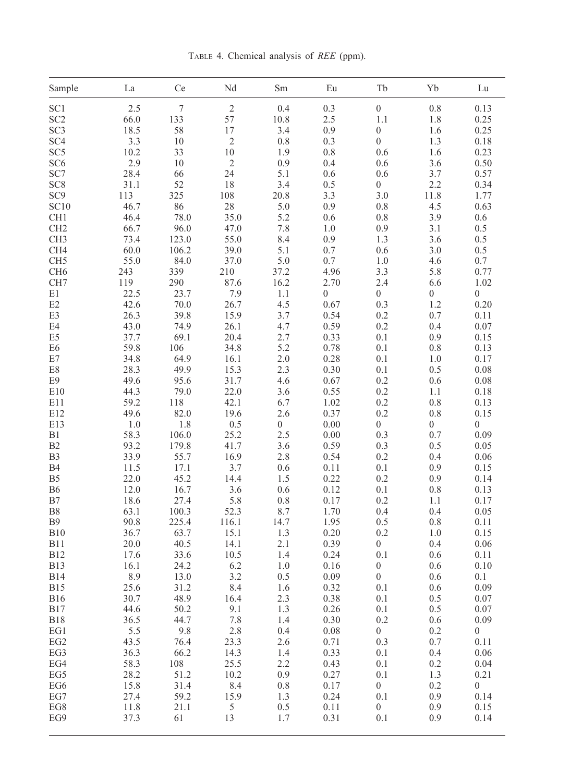TABLE 4. Chemical analysis of REE (ppm).

| Sample          | La           | Ce               | Nd             | Sm               | Eu               | Tb               | Yb               | ${\rm Lu}$       |
|-----------------|--------------|------------------|----------------|------------------|------------------|------------------|------------------|------------------|
| SC <sub>1</sub> | 2.5          | $\boldsymbol{7}$ | $\sqrt{2}$     | 0.4              | 0.3              | $\boldsymbol{0}$ | 0.8              | 0.13             |
| SC <sub>2</sub> | 66.0         | 133              | 57             | 10.8             | 2.5              | 1.1              | 1.8              | 0.25             |
| SC <sub>3</sub> | 18.5         | 58               | 17             | 3.4              | 0.9              | $\boldsymbol{0}$ | 1.6              | 0.25             |
| SC <sub>4</sub> | 3.3          | 10               | $\sqrt{2}$     | 0.8              | 0.3              | $\boldsymbol{0}$ | 1.3              | 0.18             |
| SC <sub>5</sub> | 10.2         | 33               | 10             | 1.9              | 0.8              | 0.6              | 1.6              | 0.23             |
| SC <sub>6</sub> | 2.9          | 10               | $\overline{c}$ | 0.9              | 0.4              | 0.6              | 3.6              | 0.50             |
| SC7             | 28.4         | 66               | 24             | 5.1              | 0.6              | 0.6              | 3.7              | 0.57             |
| SC <sub>8</sub> | 31.1         | 52               | 18             | 3.4              | 0.5              | $\boldsymbol{0}$ | 2.2              | 0.34             |
| SC <sub>9</sub> | 113          | 325              | 108            | 20.8             | 3.3              | 3.0              | 11.8             | 1.77             |
|                 |              |                  |                |                  |                  |                  |                  |                  |
| SC10            | 46.7         | 86               | 28             | 5.0              | 0.9              | 0.8              | 4.5              | 0.63             |
| CH1             | 46.4         | 78.0             | 35.0           | 5.2              | 0.6              | 0.8              | 3.9              | 0.6              |
| CH <sub>2</sub> | 66.7         | 96.0             | 47.0           | 7.8              | 1.0              | 0.9              | 3.1              | 0.5              |
| CH <sub>3</sub> | 73.4         | 123.0            | 55.0           | 8.4              | 0.9              | 1.3              | 3.6              | 0.5              |
| CH4             | 60.0         | 106.2            | 39.0           | 5.1              | 0.7              | 0.6              | 3.0              | 0.5              |
| CH <sub>5</sub> | 55.0         | 84.0             | 37.0           | 5.0              | 0.7              | 1.0              | 4.6              | 0.7              |
| CH <sub>6</sub> | 243          | 339              | $210\,$        | 37.2             | 4.96             | 3.3              | 5.8              | 0.77             |
| CH7             | 119          | 290              | 87.6           | 16.2             | 2.70             | 2.4              | 6.6              | 1.02             |
| E1              | 22.5         | 23.7             | 7.9            | 1.1              | $\boldsymbol{0}$ | $\boldsymbol{0}$ | $\boldsymbol{0}$ | $\boldsymbol{0}$ |
| E2              | 42.6         | 70.0             | 26.7           | 4.5              | 0.67             | 0.3              | 1.2              | 0.20             |
| E3              | 26.3         | 39.8             | 15.9           | 3.7              | 0.54             | 0.2              | 0.7              | 0.11             |
| E4              | 43.0         | 74.9             | 26.1           | 4.7              | 0.59             | 0.2              | 0.4              | 0.07             |
| E <sub>5</sub>  | 37.7         | 69.1             | 20.4           | 2.7              | 0.33             | 0.1              | 0.9              | 0.15             |
| E <sub>6</sub>  | 59.8         | 106              | 34.8           | 5.2              | 0.78             | 0.1              | 0.8              | 0.13             |
| E7              | 34.8         | 64.9             | 16.1           | $2.0\,$          | 0.28             | 0.1              | 1.0              | 0.17             |
| E8              | 28.3         | 49.9             | 15.3           | 2.3              | 0.30             | 0.1              | 0.5              | 0.08             |
| E9              | 49.6         | 95.6             | 31.7           | 4.6              | 0.67             | 0.2              | 0.6              | 0.08             |
| E10             | 44.3<br>59.2 | 79.0             | 22.0<br>42.1   | 3.6              | 0.55             | 0.2              | 1.1              | 0.18             |
| E11<br>E12      | 49.6         | 118<br>82.0      | 19.6           | 6.7<br>2.6       | 1.02<br>0.37     | 0.2<br>0.2       | 0.8<br>$0.8\,$   | 0.13<br>0.15     |
| E13             | 1.0          | 1.8              | 0.5            | $\boldsymbol{0}$ | 0.00             | $\boldsymbol{0}$ | $\boldsymbol{0}$ | $\boldsymbol{0}$ |
| B1              | 58.3         | 106.0            | 25.2           | 2.5              | 0.00             | 0.3              | 0.7              | 0.09             |
| B2              | 93.2         | 179.8            | 41.7           | 3.6              | 0.59             | 0.3              | 0.5              | 0.05             |
| B <sub>3</sub>  | 33.9         | 55.7             | 16.9           | 2.8              | 0.54             | 0.2              | 0.4              | 0.06             |
| <b>B4</b>       | 11.5         | 17.1             | 3.7            | 0.6              | 0.11             | 0.1              | 0.9              | 0.15             |
| B <sub>5</sub>  | 22.0         | 45.2             | 14.4           | 1.5              | 0.22             | 0.2              | 0.9              | 0.14             |
| <b>B6</b>       | 12.0         | 16.7             | 3.6            | 0.6              | 0.12             | 0.1              | 0.8              | 0.13             |
| B7              | 18.6         | 27.4             | 5.8            | 0.8              | 0.17             | 0.2              | 1.1              | 0.17             |
| B <sub>8</sub>  | 63.1         | 100.3            | 52.3           | 8.7              | 1.70             | 0.4              | 0.4              | 0.05             |
| <b>B</b> 9      | 90.8         | 225.4            | 116.1          | 14.7             | 1.95             | 0.5              | 0.8              | 0.11             |
| B10             | 36.7         | 63.7             | 15.1           | 1.3              | 0.20             | 0.2              | 1.0              | 0.15             |
| <b>B11</b>      | 20.0         | 40.5             | 14.1           | 2.1              | 0.39             | $\boldsymbol{0}$ | 0.4              | 0.06             |
| <b>B12</b>      | 17.6         | 33.6             | 10.5           | 1.4              | 0.24             | 0.1              | 0.6              | 0.11             |
| <b>B13</b>      | 16.1         | 24.2             | 6.2            | 1.0              | 0.16             | $\boldsymbol{0}$ | 0.6              | 0.10             |
| <b>B14</b>      | 8.9          | 13.0             | 3.2            | 0.5              | 0.09             | $\boldsymbol{0}$ | 0.6              | 0.1              |
| <b>B15</b>      | 25.6         | 31.2             | 8.4            | 1.6              | 0.32             | 0.1              | 0.6              | 0.09             |
| <b>B16</b>      | 30.7         | 48.9             | 16.4           | 2.3              | 0.38             | 0.1              | 0.5              | 0.07             |
| <b>B17</b>      | 44.6         | 50.2             | 9.1            | 1.3              | 0.26             | $0.1\,$          | 0.5              | 0.07             |
| <b>B18</b>      | 36.5         | 44.7             | 7.8            | 1.4              | 0.30             | 0.2              | 0.6              | 0.09             |
| EG1             | 5.5          | 9.8              | 2.8            | 0.4              | 0.08             | $\boldsymbol{0}$ | 0.2              | $\boldsymbol{0}$ |
| EG <sub>2</sub> | 43.5         | 76.4             | 23.3           | 2.6              | 0.71             | 0.3              | 0.7              | 0.11             |
| EG3             | 36.3         | 66.2             | 14.3           | 1.4              | 0.33             | 0.1              | 0.4              | 0.06             |
| EG4             | 58.3         | 108              | 25.5           | 2.2              | 0.43             | 0.1              | 0.2              | 0.04             |
| EG5             | 28.2         | 51.2             | 10.2           | 0.9              | 0.27             | 0.1              | 1.3              | 0.21             |
| EG6             | 15.8         | 31.4             | 8.4            | 0.8              | 0.17             | $\boldsymbol{0}$ | 0.2              | $\boldsymbol{0}$ |
| EG7             | 27.4         | 59.2             | 15.9           | 1.3              | 0.24             | 0.1              | 0.9              | 0.14             |
| EG8             | 11.8         | 21.1             | $\sqrt{5}$     | 0.5              | 0.11             | $\boldsymbol{0}$ | 0.9              | 0.15             |
| EG9             | 37.3         | 61               | 13             | 1.7              | 0.31             | 0.1              | 0.9              | 0.14             |
|                 |              |                  |                |                  |                  |                  |                  |                  |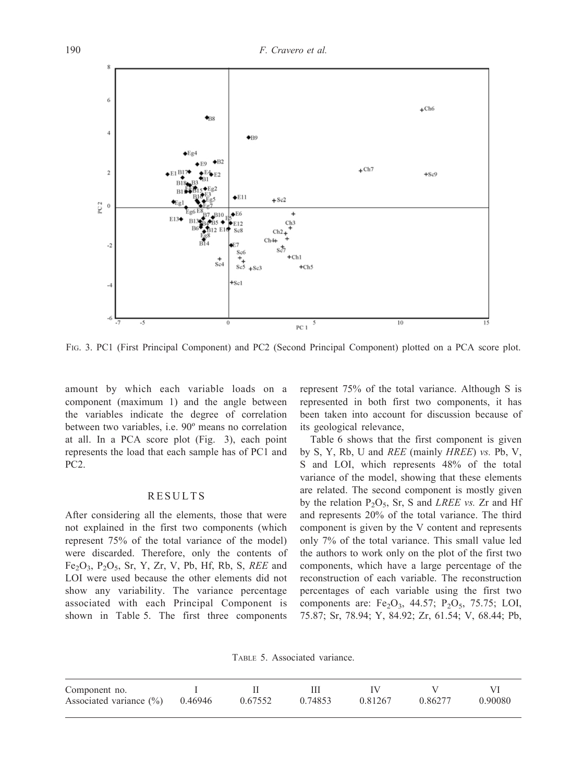

FIG. 3. PC1 (First Principal Component) and PC2 (Second Principal Component) plotted on a PCA score plot.

amount by which each variable loads on a component (maximum 1) and the angle between the variables indicate the degree of correlation between two variables, i.e. 90º means no correlation at all. In a PCA score plot (Fig. 3), each point represents the load that each sample has of PC1 and PC2.

#### RESULTS

After considering all the elements, those that were not explained in the first two components (which represent 75% of the total variance of the model) were discarded. Therefore, only the contents of  $Fe<sub>2</sub>O<sub>3</sub>$ ,  $P<sub>2</sub>O<sub>5</sub>$ , Sr, Y, Zr, V, Pb, Hf, Rb, S, REE and LOI were used because the other elements did not show any variability. The variance percentage associated with each Principal Component is shown in Table 5. The first three components

represent 75% of the total variance. Although S is represented in both first two components, it has been taken into account for discussion because of its geological relevance,

Table 6 shows that the first component is given by S, Y, Rb, U and REE (mainly HREE) vs. Pb, V, S and LOI, which represents 48% of the total variance of the model, showing that these elements are related. The second component is mostly given by the relation  $P_2O_5$ , Sr, S and LREE vs. Zr and Hf and represents 20% of the total variance. The third component is given by the V content and represents only 7% of the total variance. This small value led the authors to work only on the plot of the first two components, which have a large percentage of the reconstruction of each variable. The reconstruction percentages of each variable using the first two components are:  $Fe<sub>2</sub>O<sub>3</sub>$ , 44.57;  $P<sub>2</sub>O<sub>5</sub>$ , 75.75; LOI, 75.87; Sr, 78.94; Y, 84.92; Zr, 61.54; V, 68.44; Pb,

TABLE 5. Associated variance.

| Component no.                       |         |         |         |         |         |
|-------------------------------------|---------|---------|---------|---------|---------|
| Associated variance $(\% )$ 0.46946 | 0.67552 | 0.74853 | 0.81267 | 0.86277 | 0.90080 |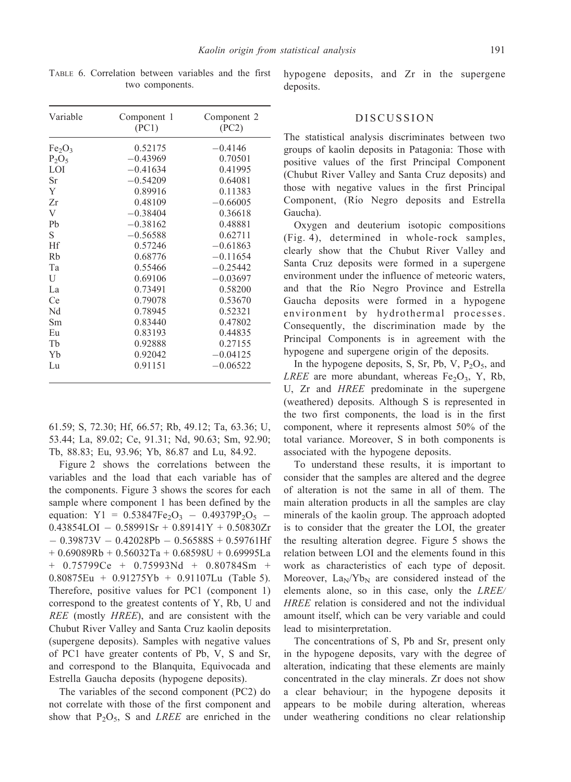TABLE 6. Correlation between variables and the first two components.

| Variable                       | Component 1 | Component 2 |
|--------------------------------|-------------|-------------|
|                                | (PC1)       | (PC2)       |
| Fe <sub>2</sub> O <sub>3</sub> | 0.52175     | $-0.4146$   |
| $P_2O_5$                       | $-0.43969$  | 0.70501     |
| LOI                            | $-0.41634$  | 0.41995     |
| Sr                             | $-0.54209$  | 0.64081     |
| Y                              | 0.89916     | 0.11383     |
| Zr                             | 0.48109     | $-0.66005$  |
| V                              | $-0.38404$  | 0.36618     |
| Pb                             | $-0.38162$  | 0.48881     |
| S                              | $-0.56588$  | 0.62711     |
| Hf                             | 0.57246     | $-0.61863$  |
| Rb                             | 0.68776     | $-0.11654$  |
| Ta                             | 0.55466     | $-0.25442$  |
| U                              | 0.69106     | $-0.03697$  |
| La                             | 0.73491     | 0.58200     |
| Ce                             | 0.79078     | 0.53670     |
| Nd                             | 0.78945     | 0.52321     |
| Sm                             | 0.83440     | 0.47802     |
| Eu                             | 0.83193     | 0.44835     |
| Tb                             | 0.92888     | 0.27155     |
| Yb                             | 0.92042     | $-0.04125$  |
| Lu                             | 0.91151     | $-0.06522$  |
|                                |             |             |

61.59; S, 72.30; Hf, 66.57; Rb, 49.12; Ta, 63.36; U, 53.44; La, 89.02; Ce, 91.31; Nd, 90.63; Sm, 92.90; Tb, 88.83; Eu, 93.96; Yb, 86.87 and Lu, 84.92.

Figure 2 shows the correlations between the variables and the load that each variable has of the components. Figure 3 shows the scores for each sample where component 1 has been defined by the equation:  $Y1 = 0.53847Fe<sub>2</sub>O<sub>3</sub> - 0.49379P<sub>2</sub>O<sub>5</sub> 0.43854LOI - 0.58991Sr + 0.89141Y + 0.50830Zr$  $-0.39873V - 0.42028Pb - 0.56588S + 0.59761Hf$  $+ 0.69089Rb + 0.56032Ta + 0.68598U + 0.69995La$  $+$  0.75799Ce + 0.75993Nd + 0.80784Sm + 0.80875Eu + 0.91275Yb + 0.91107Lu (Table 5). Therefore, positive values for PC1 (component 1) correspond to the greatest contents of Y, Rb, U and REE (mostly HREE), and are consistent with the Chubut River Valley and Santa Cruz kaolin deposits (supergene deposits). Samples with negative values of PC1 have greater contents of Pb, V, S and Sr, and correspond to the Blanquita, Equivocada and Estrella Gaucha deposits (hypogene deposits).

The variables of the second component (PC2) do not correlate with those of the first component and show that  $P_2O_5$ , S and *LREE* are enriched in the

hypogene deposits, and Zr in the supergene deposits.

#### DISCUSSION

The statistical analysis discriminates between two groups of kaolin deposits in Patagonia: Those with positive values of the first Principal Component (Chubut River Valley and Santa Cruz deposits) and those with negative values in the first Principal Component, (Rio Negro deposits and Estrella Gaucha).

Oxygen and deuterium isotopic compositions (Fig. 4), determined in whole-rock samples, clearly show that the Chubut River Valley and Santa Cruz deposits were formed in a supergene environment under the influence of meteoric waters, and that the Río Negro Province and Estrella Gaucha deposits were formed in a hypogene environment by hydrothermal processes. Consequently, the discrimination made by the Principal Components is in agreement with the hypogene and supergene origin of the deposits.

In the hypogene deposits, S, Sr, Pb, V,  $P_2O_5$ , and *LREE* are more abundant, whereas  $Fe<sub>2</sub>O<sub>3</sub>$ , Y, Rb, U, Zr and HREE predominate in the supergene (weathered) deposits. Although S is represented in the two first components, the load is in the first component, where it represents almost 50% of the total variance. Moreover, S in both components is associated with the hypogene deposits.

To understand these results, it is important to consider that the samples are altered and the degree of alteration is not the same in all of them. The main alteration products in all the samples are clay minerals of the kaolin group. The approach adopted is to consider that the greater the LOI, the greater the resulting alteration degree. Figure 5 shows the relation between LOI and the elements found in this work as characteristics of each type of deposit. Moreover,  $La_N/Yb_N$  are considered instead of the elements alone, so in this case, only the LREE/ HREE relation is considered and not the individual amount itself, which can be very variable and could lead to misinterpretation.

The concentrations of S, Pb and Sr, present only in the hypogene deposits, vary with the degree of alteration, indicating that these elements are mainly concentrated in the clay minerals. Zr does not show a clear behaviour; in the hypogene deposits it appears to be mobile during alteration, whereas under weathering conditions no clear relationship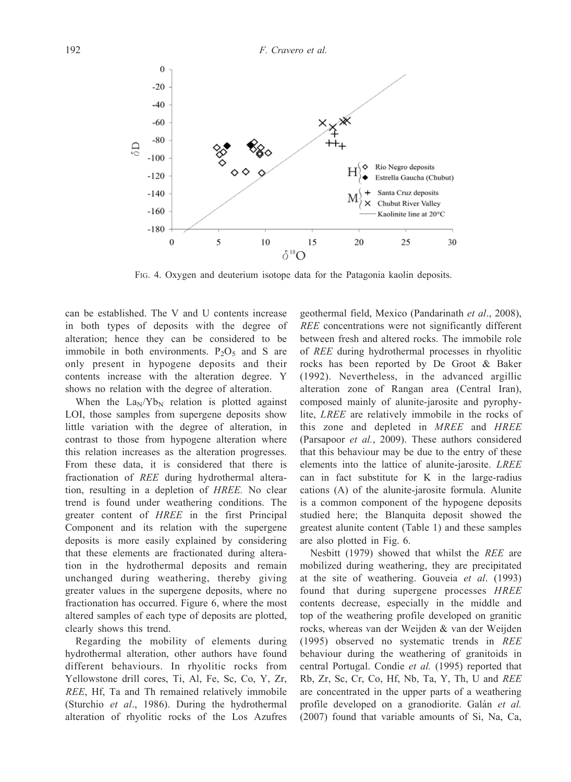

FIG. 4. Oxygen and deuterium isotope data for the Patagonia kaolin deposits.

can be established. The V and U contents increase in both types of deposits with the degree of alteration; hence they can be considered to be immobile in both environments.  $P_2O_5$  and S are only present in hypogene deposits and their contents increase with the alteration degree. Y shows no relation with the degree of alteration.

When the  $\text{La}_{\text{N}}/\text{Yb}_{\text{N}}$  relation is plotted against LOI, those samples from supergene deposits show little variation with the degree of alteration, in contrast to those from hypogene alteration where this relation increases as the alteration progresses. From these data, it is considered that there is fractionation of REE during hydrothermal alteration, resulting in a depletion of HREE. No clear trend is found under weathering conditions. The greater content of HREE in the first Principal Component and its relation with the supergene deposits is more easily explained by considering that these elements are fractionated during alteration in the hydrothermal deposits and remain unchanged during weathering, thereby giving greater values in the supergene deposits, where no fractionation has occurred. Figure 6, where the most altered samples of each type of deposits are plotted, clearly shows this trend.

Regarding the mobility of elements during hydrothermal alteration, other authors have found different behaviours. In rhyolitic rocks from Yellowstone drill cores, Ti, Al, Fe, Sc, Co, Y, Zr, REE, Hf, Ta and Th remained relatively immobile (Sturchio et al., 1986). During the hydrothermal alteration of rhyolitic rocks of the Los Azufres

geothermal field, Mexico (Pandarinath et al., 2008), REE concentrations were not significantly different between fresh and altered rocks. The immobile role of REE during hydrothermal processes in rhyolitic rocks has been reported by De Groot & Baker (1992). Nevertheless, in the advanced argillic alteration zone of Rangan area (Central Iran), composed mainly of alunite-jarosite and pyrophylite, LREE are relatively immobile in the rocks of this zone and depleted in MREE and HREE (Parsapoor et al., 2009). These authors considered that this behaviour may be due to the entry of these elements into the lattice of alunite-jarosite. LREE can in fact substitute for K in the large-radius cations (A) of the alunite-jarosite formula. Alunite is a common component of the hypogene deposits studied here; the Blanquita deposit showed the greatest alunite content (Table 1) and these samples are also plotted in Fig. 6.

Nesbitt (1979) showed that whilst the REE are mobilized during weathering, they are precipitated at the site of weathering. Gouveia et al. (1993) found that during supergene processes HREE contents decrease, especially in the middle and top of the weathering profile developed on granitic rocks, whereas van der Weijden & van der Weijden (1995) observed no systematic trends in REE behaviour during the weathering of granitoids in central Portugal. Condie et al. (1995) reported that Rb, Zr, Sc, Cr, Co, Hf, Nb, Ta, Y, Th, U and REE are concentrated in the upper parts of a weathering profile developed on a granodiorite. Galán et al. (2007) found that variable amounts of Si, Na, Ca,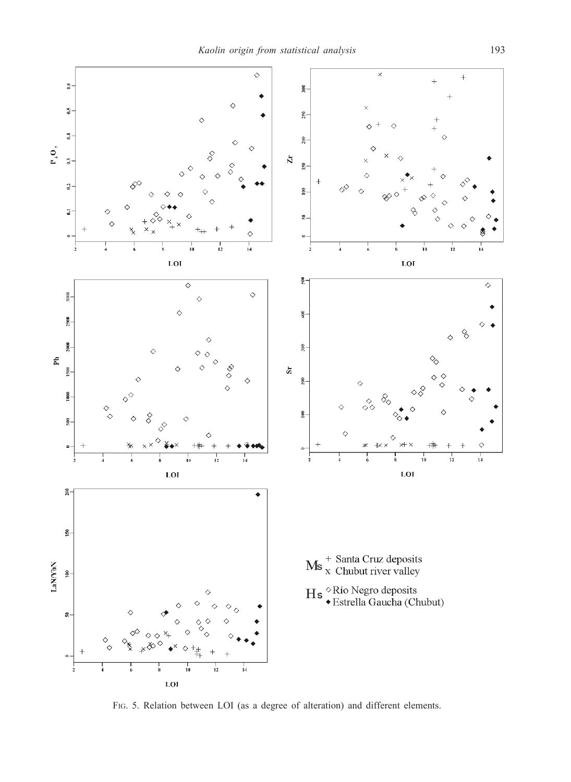

FIG. 5. Relation between LOI (as a degree of alteration) and different elements.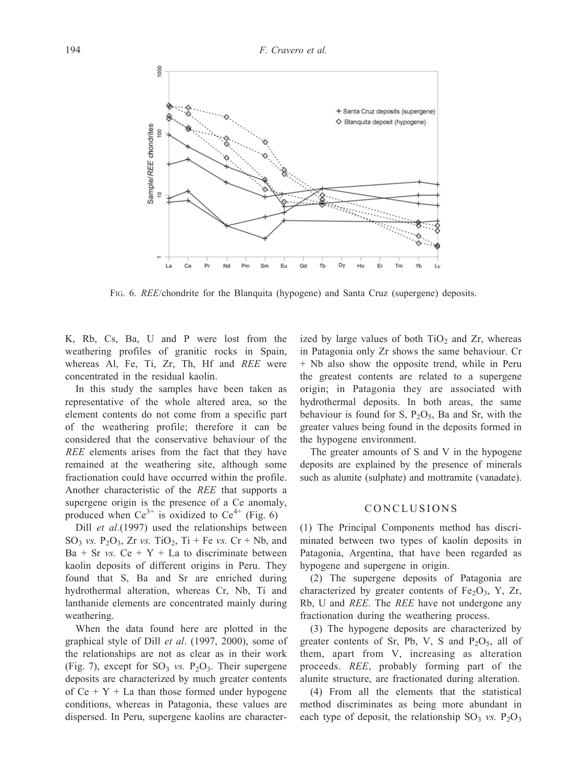

FIG. 6. REE/chondrite for the Blanquita (hypogene) and Santa Cruz (supergene) deposits.

K, Rb, Cs, Ba, U and P were lost from the weathering profiles of granitic rocks in Spain, whereas Al, Fe, Ti, Zr, Th, Hf and REE were concentrated in the residual kaolin.

In this study the samples have been taken as representative of the whole altered area, so the element contents do not come from a specific part of the weathering profile; therefore it can be considered that the conservative behaviour of the REE elements arises from the fact that they have remained at the weathering site, although some fractionation could have occurred within the profile. Another characteristic of the REE that supports a supergene origin is the presence of a Ce anomaly, produced when  $Ce^{3+}$  is oxidized to  $Ce^{4+}$  (Fig. 6)

Dill *et al.*(1997) used the relationships between SO<sub>3</sub> vs. P<sub>2</sub>O<sub>3</sub>, Zr vs. TiO<sub>2</sub>, Ti + Fe vs. Cr + Nb, and  $Ba + Sr$  vs.  $Ce + Y + La$  to discriminate between kaolin deposits of different origins in Peru. They found that S, Ba and Sr are enriched during hydrothermal alteration, whereas Cr, Nb, Ti and lanthanide elements are concentrated mainly during weathering.

When the data found here are plotted in the graphical style of Dill et al. (1997, 2000), some of the relationships are not as clear as in their work (Fig. 7), except for  $SO_3$  *vs.*  $P_2O_3$ . Their supergene deposits are characterized by much greater contents of  $Ce + Y + La$  than those formed under hypogene conditions, whereas in Patagonia, these values are dispersed. In Peru, supergene kaolins are character-

ized by large values of both  $TiO<sub>2</sub>$  and Zr, whereas in Patagonia only Zr shows the same behaviour. Cr + Nb also show the opposite trend, while in Peru the greatest contents are related to a supergene origin; in Patagonia they are associated with hydrothermal deposits. In both areas, the same behaviour is found for S,  $P_2O_5$ , Ba and Sr, with the greater values being found in the deposits formed in the hypogene environment.

The greater amounts of S and V in the hypogene deposits are explained by the presence of minerals such as alunite (sulphate) and mottramite (vanadate).

#### CONCLUSIONS

(1) The Principal Components method has discriminated between two types of kaolin deposits in Patagonia, Argentina, that have been regarded as hypogene and supergene in origin.

(2) The supergene deposits of Patagonia are characterized by greater contents of  $Fe<sub>2</sub>O<sub>3</sub>$ , Y, Zr, Rb, U and REE. The REE have not undergone any fractionation during the weathering process.

(3) The hypogene deposits are characterized by greater contents of Sr, Pb, V, S and  $P_2O_5$ , all of them, apart from V, increasing as alteration proceeds. REE, probably forming part of the alunite structure, are fractionated during alteration.

(4) From all the elements that the statistical method discriminates as being more abundant in each type of deposit, the relationship  $SO_3$  vs.  $P_2O_3$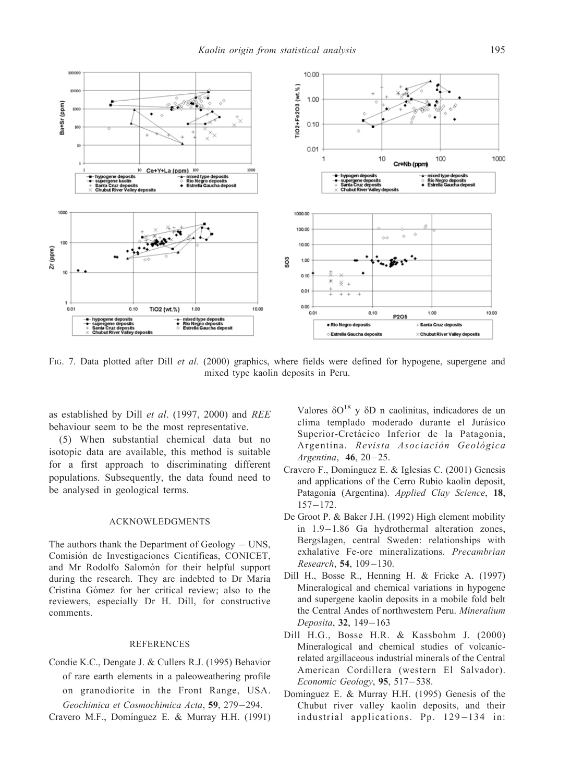

FIG. 7. Data plotted after Dill et al. (2000) graphics, where fields were defined for hypogene, supergene and mixed type kaolin deposits in Peru.

as established by Dill et al. (1997, 2000) and REE behaviour seem to be the most representative.

(5) When substantial chemical data but no isotopic data are available, this method is suitable for a first approach to discriminating different populations. Subsequently, the data found need to be analysed in geological terms.

#### ACKNOWLEDGMENTS

The authors thank the Department of  $Geology - UNS$ , Comisión de Investigaciones Científicas, CONICET, and Mr Rodolfo Salomón for their helpful support during the research. They are indebted to Dr Maria Cristina Gómez for her critical review; also to the reviewers, especially Dr H. Dill, for constructive comments.

#### **REFERENCES**

Condie K.C., Dengate J. & Cullers R.J. (1995) Behavior of rare earth elements in a paleoweathering profile on granodiorite in the Front Range, USA. Geochimica et Cosmochimica Acta, 59, 279-294.

Cravero M.F., Domínguez E. & Murray H.H. (1991)

Valores  $\delta O^{18}$  y  $\delta D$  n caolinitas, indicadores de un clima templado moderado durante el Jurásico Superior-Cretácico Inferior de la Patagonia, Argentina. Revista Asociación Geológica Argentina,  $46, 20-25$ .

- Cravero F., Domínguez E. & Iglesias C. (2001) Genesis and applications of the Cerro Rubio kaolin deposit, Patagonia (Argentina). Applied Clay Science, 18,  $157 - 172.$
- De Groot P. & Baker J.H. (1992) High element mobility in  $1.9-1.86$  Ga hydrothermal alteration zones, Bergslagen, central Sweden: relationships with exhalative Fe-ore mineralizations. Precambrian  $Research, 54, 109-130.$
- Dill H., Bosse R., Henning H. & Fricke A. (1997) Mineralogical and chemical variations in hypogene and supergene kaolin deposits in a mobile fold belt the Central Andes of northwestern Peru. Mineralium Deposita, 32, 149-163
- Dill H.G., Bosse H.R. & Kassbohm J. (2000) Mineralogical and chemical studies of volcanicrelated argillaceous industrial minerals of the Central American Cordillera (western El Salvador). Economic Geology,  $95, 517-538$ .
- Domínguez E. & Murray H.H. (1995) Genesis of the Chubut river valley kaolin deposits, and their industrial applications. Pp. 129-134 in: